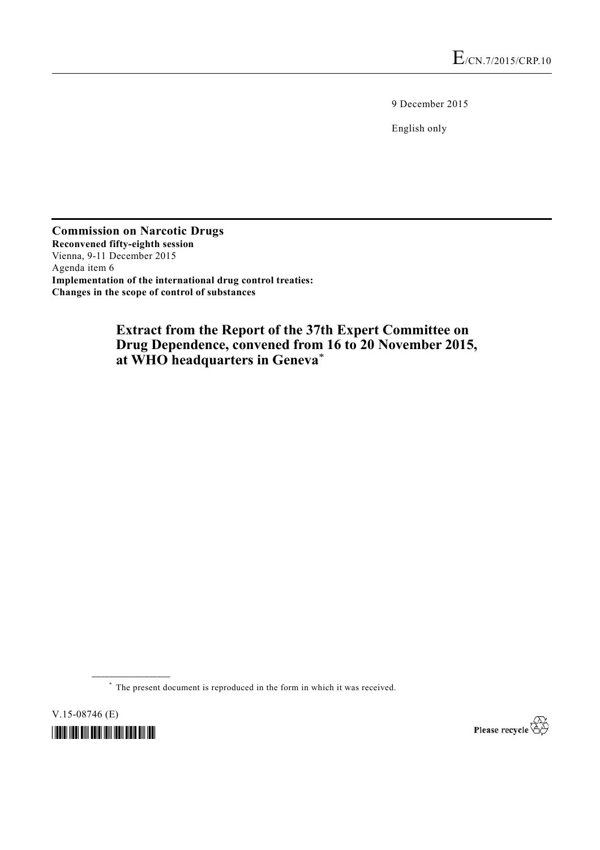9 December 2015

English only

**Commission on Narcotic Drugs Reconvened fifty-eighth session**  Vienna, 9-11 December 2015 Agenda item 6 **Implementation of the international drug control treaties: Changes in the scope of control of substances** 

# **Extract from the Report of the 37th Expert Committee on Drug Dependence, convened from 16 to 20 November 2015, at WHO headquarters in Geneva**\*

\* The present document is reproduced in the form in which it was received.

V.15-08746 (E)



**\_\_\_\_\_\_\_\_\_\_\_\_\_\_\_\_\_\_** 

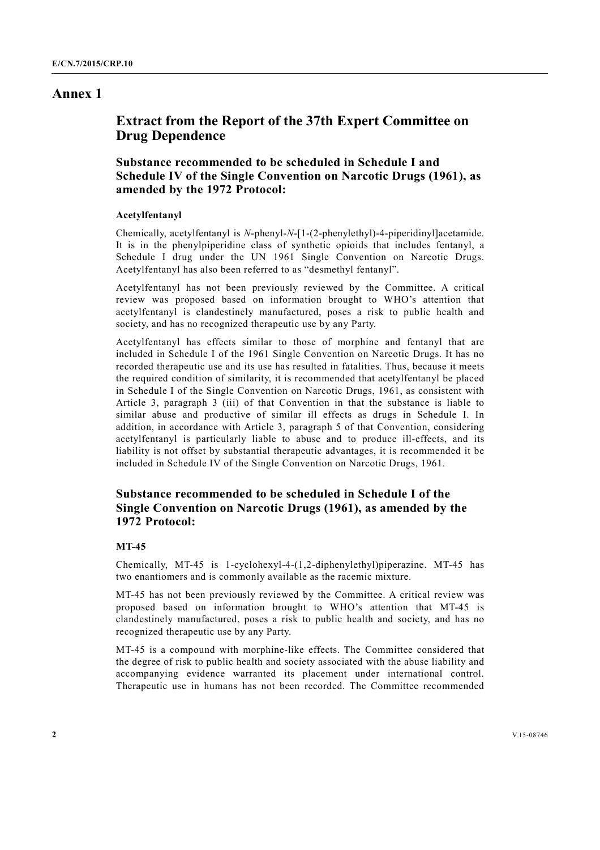## **Annex 1**

# **Extract from the Report of the 37th Expert Committee on Drug Dependence**

## **Substance recommended to be scheduled in Schedule I and Schedule IV of the Single Convention on Narcotic Drugs (1961), as amended by the 1972 Protocol:**

### **Acetylfentanyl**

Chemically, acetylfentanyl is *N*-phenyl-*N*-[1-(2-phenylethyl)-4-piperidinyl]acetamide. It is in the phenylpiperidine class of synthetic opioids that includes fentanyl, a Schedule I drug under the UN 1961 Single Convention on Narcotic Drugs. Acetylfentanyl has also been referred to as "desmethyl fentanyl".

Acetylfentanyl has not been previously reviewed by the Committee. A critical review was proposed based on information brought to WHO's attention that acetylfentanyl is clandestinely manufactured, poses a risk to public health and society, and has no recognized therapeutic use by any Party.

Acetylfentanyl has effects similar to those of morphine and fentanyl that are included in Schedule I of the 1961 Single Convention on Narcotic Drugs. It has no recorded therapeutic use and its use has resulted in fatalities. Thus, because it meets the required condition of similarity, it is recommended that acetylfentanyl be placed in Schedule I of the Single Convention on Narcotic Drugs, 1961, as consistent with Article 3, paragraph 3 (iii) of that Convention in that the substance is liable to similar abuse and productive of similar ill effects as drugs in Schedule I. In addition, in accordance with Article 3, paragraph 5 of that Convention, considering acetylfentanyl is particularly liable to abuse and to produce ill-effects, and its liability is not offset by substantial therapeutic advantages, it is recommended it be included in Schedule IV of the Single Convention on Narcotic Drugs, 1961.

## **Substance recommended to be scheduled in Schedule I of the Single Convention on Narcotic Drugs (1961), as amended by the 1972 Protocol:**

#### **MT-45**

Chemically, MT-45 is 1-cyclohexyl-4-(1,2-diphenylethyl)piperazine. MT-45 has two enantiomers and is commonly available as the racemic mixture.

MT-45 has not been previously reviewed by the Committee. A critical review was proposed based on information brought to WHO's attention that MT-45 is clandestinely manufactured, poses a risk to public health and society, and has no recognized therapeutic use by any Party.

MT-45 is a compound with morphine-like effects. The Committee considered that the degree of risk to public health and society associated with the abuse liability and accompanying evidence warranted its placement under international control. Therapeutic use in humans has not been recorded. The Committee recommended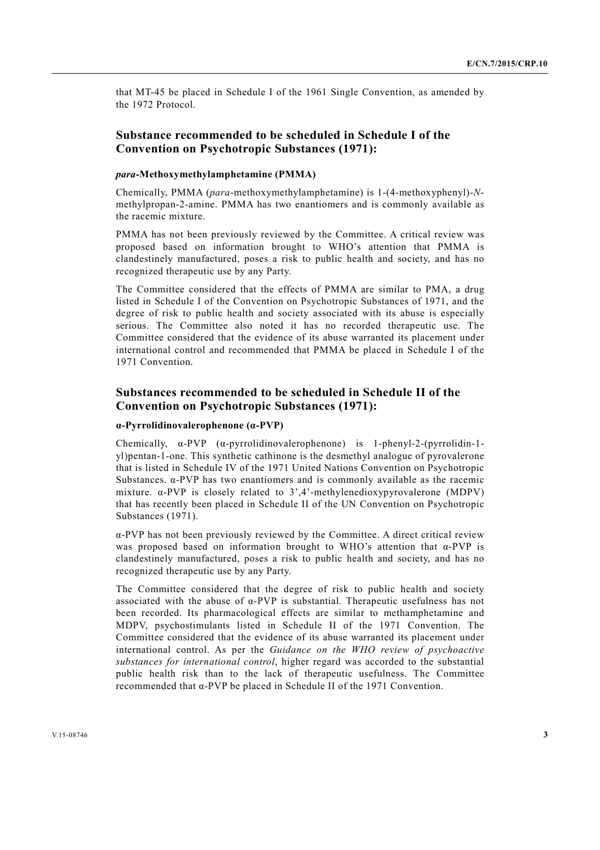that MT-45 be placed in Schedule I of the 1961 Single Convention, as amended by the 1972 Protocol.

### **Substance recommended to be scheduled in Schedule I of the Convention on Psychotropic Substances (1971):**

### *para***-Methoxymethylamphetamine (PMMA)**

Chemically, PMMA (*para*-methoxymethylamphetamine) is 1-(4-methoxyphenyl)-*N*methylpropan-2-amine. PMMA has two enantiomers and is commonly available as the racemic mixture.

PMMA has not been previously reviewed by the Committee. A critical review was proposed based on information brought to WHO's attention that PMMA is clandestinely manufactured, poses a risk to public health and society, and has no recognized therapeutic use by any Party.

The Committee considered that the effects of PMMA are similar to PMA, a drug listed in Schedule I of the Convention on Psychotropic Substances of 1971, and the degree of risk to public health and society associated with its abuse is especially serious. The Committee also noted it has no recorded therapeutic use. The Committee considered that the evidence of its abuse warranted its placement under international control and recommended that PMMA be placed in Schedule I of the 1971 Convention.

## **Substances recommended to be scheduled in Schedule II of the Convention on Psychotropic Substances (1971):**

### **α-Pyrrolidinovalerophenone (α-PVP)**

Chemically,  $\alpha$ -PVP ( $\alpha$ -pyrrolidinovalerophenone) is 1-phenyl-2-(pyrrolidin-1yl)pentan-1-one. This synthetic cathinone is the desmethyl analogue of pyrovalerone that is listed in Schedule IV of the 1971 United Nations Convention on Psychotropic Substances.  $\alpha$ -PVP has two enantiomers and is commonly available as the racemic mixture. α-PVP is closely related to 3',4'-methylenedioxypyrovalerone (MDPV) that has recently been placed in Schedule II of the UN Convention on Psychotropic Substances (1971).

α-PVP has not been previously reviewed by the Committee. A direct critical review was proposed based on information brought to WHO's attention that α-PVP is clandestinely manufactured, poses a risk to public health and society, and has no recognized therapeutic use by any Party.

The Committee considered that the degree of risk to public health and society associated with the abuse of α-PVP is substantial. Therapeutic usefulness has not been recorded. Its pharmacological effects are similar to methamphetamine and MDPV, psychostimulants listed in Schedule II of the 1971 Convention. The Committee considered that the evidence of its abuse warranted its placement under international control. As per the *Guidance on the WHO review of psychoactive substances for international control*, higher regard was accorded to the substantial public health risk than to the lack of therapeutic usefulness. The Committee recommended that α-PVP be placed in Schedule II of the 1971 Convention.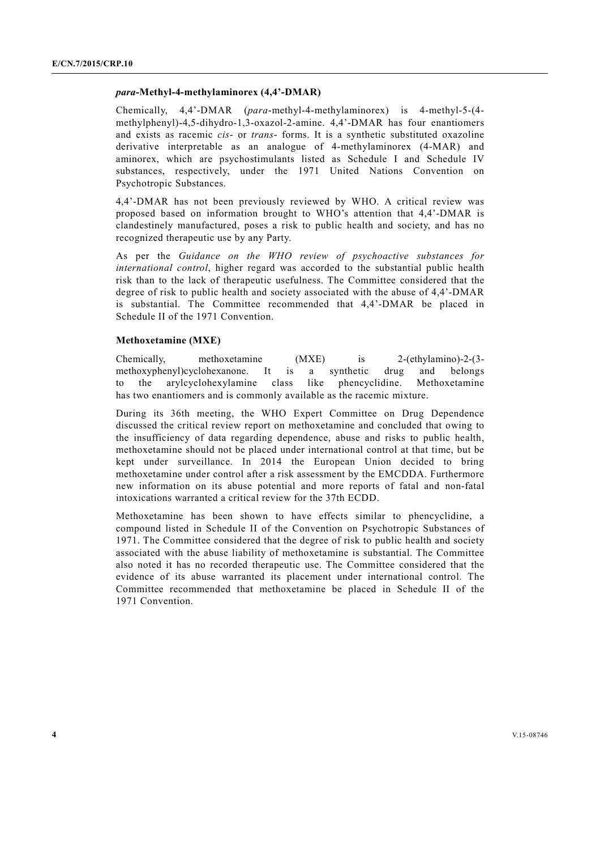#### *para***-Methyl-4-methylaminorex (4,4'-DMAR)**

Chemically, 4,4'-DMAR (*para*-methyl-4-methylaminorex) is 4-methyl-5-(4 methylphenyl)-4,5-dihydro-1,3-oxazol-2-amine. 4,4'-DMAR has four enantiomers and exists as racemic *cis*- or *trans*- forms. It is a synthetic substituted oxazoline derivative interpretable as an analogue of 4-methylaminorex (4-MAR) and aminorex, which are psychostimulants listed as Schedule I and Schedule IV substances, respectively, under the 1971 United Nations Convention on Psychotropic Substances.

4,4'-DMAR has not been previously reviewed by WHO. A critical review was proposed based on information brought to WHO's attention that 4,4'-DMAR is clandestinely manufactured, poses a risk to public health and society, and has no recognized therapeutic use by any Party.

As per the *Guidance on the WHO review of psychoactive substances for international control*, higher regard was accorded to the substantial public health risk than to the lack of therapeutic usefulness. The Committee considered that the degree of risk to public health and society associated with the abuse of 4,4'-DMAR is substantial. The Committee recommended that 4,4'-DMAR be placed in Schedule II of the 1971 Convention.

#### **Methoxetamine (MXE)**

Chemically, methoxetamine (MXE) is 2-(ethylamino)-2-(3 methoxyphenyl)cyclohexanone. It is a synthetic drug and belongs to the arylcyclohexylamine class like phencyclidine. Methoxetamine has two enantiomers and is commonly available as the racemic mixture.

During its 36th meeting, the WHO Expert Committee on Drug Dependence discussed the critical review report on methoxetamine and concluded that owing to the insufficiency of data regarding dependence, abuse and risks to public health, methoxetamine should not be placed under international control at that time, but be kept under surveillance. In 2014 the European Union decided to bring methoxetamine under control after a risk assessment by the EMCDDA. Furthermore new information on its abuse potential and more reports of fatal and non-fatal intoxications warranted a critical review for the 37th ECDD.

Methoxetamine has been shown to have effects similar to phencyclidine, a compound listed in Schedule II of the Convention on Psychotropic Substances of 1971. The Committee considered that the degree of risk to public health and society associated with the abuse liability of methoxetamine is substantial. The Committee also noted it has no recorded therapeutic use. The Committee considered that the evidence of its abuse warranted its placement under international control. The Committee recommended that methoxetamine be placed in Schedule II of the 1971 Convention.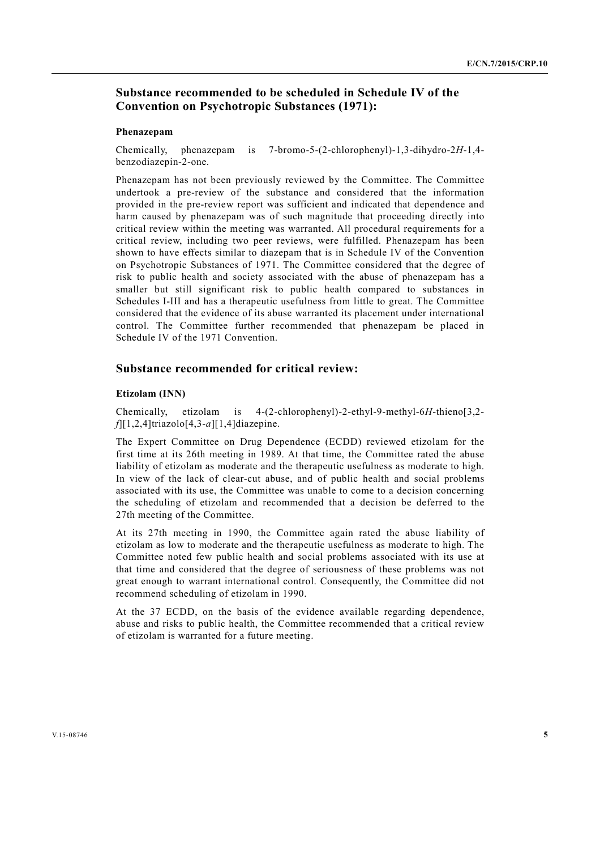## **Substance recommended to be scheduled in Schedule IV of the Convention on Psychotropic Substances (1971):**

#### **Phenazepam**

Chemically, phenazepam is 7-bromo-5-(2-chlorophenyl)-1,3-dihydro-2*H*-1,4 benzodiazepin-2-one.

Phenazepam has not been previously reviewed by the Committee. The Committee undertook a pre-review of the substance and considered that the information provided in the pre-review report was sufficient and indicated that dependence and harm caused by phenazepam was of such magnitude that proceeding directly into critical review within the meeting was warranted. All procedural requirements for a critical review, including two peer reviews, were fulfilled. Phenazepam has been shown to have effects similar to diazepam that is in Schedule IV of the Convention on Psychotropic Substances of 1971. The Committee considered that the degree of risk to public health and society associated with the abuse of phenazepam has a smaller but still significant risk to public health compared to substances in Schedules I-III and has a therapeutic usefulness from little to great. The Committee considered that the evidence of its abuse warranted its placement under international control. The Committee further recommended that phenazepam be placed in Schedule IV of the 1971 Convention.

### **Substance recommended for critical review:**

#### **Etizolam (INN)**

Chemically, etizolam is 4-(2-chlorophenyl)-2-ethyl-9-methyl-6*H*-thieno[3,2 *f*][1,2,4]triazolo[4,3-*a*][1,4]diazepine.

The Expert Committee on Drug Dependence (ECDD) reviewed etizolam for the first time at its 26th meeting in 1989. At that time, the Committee rated the abuse liability of etizolam as moderate and the therapeutic usefulness as moderate to high. In view of the lack of clear-cut abuse, and of public health and social problems associated with its use, the Committee was unable to come to a decision concerning the scheduling of etizolam and recommended that a decision be deferred to the 27th meeting of the Committee.

At its 27th meeting in 1990, the Committee again rated the abuse liability of etizolam as low to moderate and the therapeutic usefulness as moderate to high. The Committee noted few public health and social problems associated with its use at that time and considered that the degree of seriousness of these problems was not great enough to warrant international control. Consequently, the Committee did not recommend scheduling of etizolam in 1990.

At the 37 ECDD, on the basis of the evidence available regarding dependence, abuse and risks to public health, the Committee recommended that a critical review of etizolam is warranted for a future meeting.